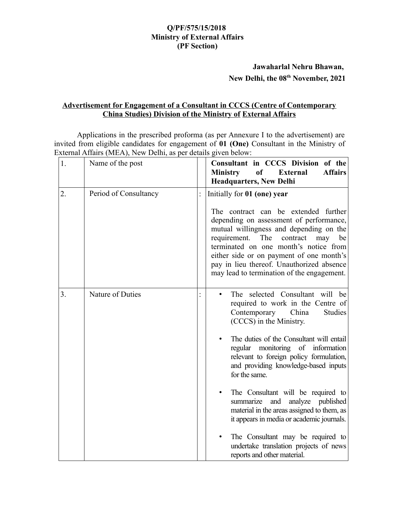## **Q/PF/575/15/2018 Ministry of External Affairs (PF Section)**

# **Jawaharlal Nehru Bhawan, New Delhi, the 08th November, 2021**

#### **Advertisement for Engagement of a Consultant in CCCS (Centre of Contemporary China Studies) Division of the Ministry of External Affairs**

Applications in the prescribed proforma (as per Annexure I to the advertisement) are invited from eligible candidates for engagement of **01 (One)** Consultant in the Ministry of External Affairs (MEA), New Delhi, as per details given below:

| 1. | Name of the post      | Consultant in CCCS Division of the<br><b>Ministry</b><br><b>External</b><br><b>Affairs</b><br><sub>of</sub><br><b>Headquarters, New Delhi</b>                                                                                                                                                                                                                                                                                                                                                                                                     |
|----|-----------------------|---------------------------------------------------------------------------------------------------------------------------------------------------------------------------------------------------------------------------------------------------------------------------------------------------------------------------------------------------------------------------------------------------------------------------------------------------------------------------------------------------------------------------------------------------|
| 2. | Period of Consultancy | Initially for 01 (one) year<br>$\ddot{\cdot}$<br>The contract can be extended further<br>depending on assessment of performance,<br>mutual willingness and depending on the<br>requirement. The<br>contract<br>may be<br>terminated on one month's notice from<br>either side or on payment of one month's<br>pay in lieu thereof. Unauthorized absence<br>may lead to termination of the engagement.                                                                                                                                             |
| 3. | Nature of Duties      | The selected Consultant will be<br>required to work in the Centre of<br>China<br><b>Studies</b><br>Contemporary<br>(CCCS) in the Ministry.<br>The duties of the Consultant will entail<br>regular monitoring of information<br>relevant to foreign policy formulation,<br>and providing knowledge-based inputs<br>for the same.<br>The Consultant will be required to<br>analyze<br>published<br>summarize<br>and<br>material in the areas assigned to them, as<br>it appears in media or academic journals.<br>The Consultant may be required to |
|    |                       | undertake translation projects of news<br>reports and other material.                                                                                                                                                                                                                                                                                                                                                                                                                                                                             |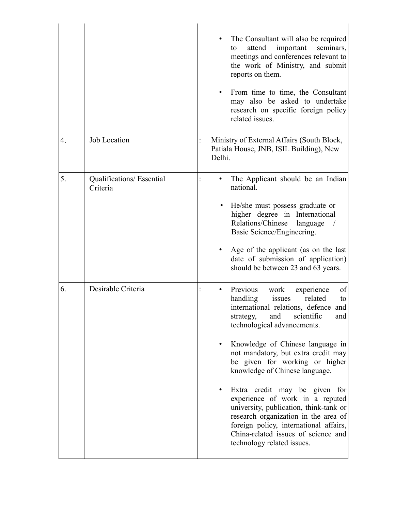|    |                                       | The Consultant will also be required<br>٠<br>important<br>seminars,<br>attend<br>to<br>meetings and conferences relevant to<br>the work of Ministry, and submit<br>reports on them.<br>From time to time, the Consultant<br>may also be asked to undertake<br>research on specific foreign policy<br>related issues.                                                                                                                                                                                                                                                                                                                   |
|----|---------------------------------------|----------------------------------------------------------------------------------------------------------------------------------------------------------------------------------------------------------------------------------------------------------------------------------------------------------------------------------------------------------------------------------------------------------------------------------------------------------------------------------------------------------------------------------------------------------------------------------------------------------------------------------------|
| 4. | <b>Job Location</b>                   | Ministry of External Affairs (South Block,<br>Patiala House, JNB, ISIL Building), New<br>Delhi.                                                                                                                                                                                                                                                                                                                                                                                                                                                                                                                                        |
| 5. | Qualifications/ Essential<br>Criteria | The Applicant should be an Indian<br>٠<br>national.<br>He/she must possess graduate or<br>$\bullet$<br>higher degree in International<br>Relations/Chinese<br>language<br>Basic Science/Engineering.<br>Age of the applicant (as on the last<br>٠<br>date of submission of application)<br>should be between 23 and 63 years.                                                                                                                                                                                                                                                                                                          |
| 6. | Desirable Criteria                    | Previous<br>work<br>experience<br>of<br>$\bullet$<br>handling<br>issues<br>related<br>to<br>international relations, defence and<br>and<br>scientific<br>strategy,<br>and<br>technological advancements.<br>Knowledge of Chinese language in<br>٠<br>not mandatory, but extra credit may<br>be given for working or higher<br>knowledge of Chinese language.<br>Extra credit may be given for<br>٠<br>experience of work in a reputed<br>university, publication, think-tank or<br>research organization in the area of<br>foreign policy, international affairs,<br>China-related issues of science and<br>technology related issues. |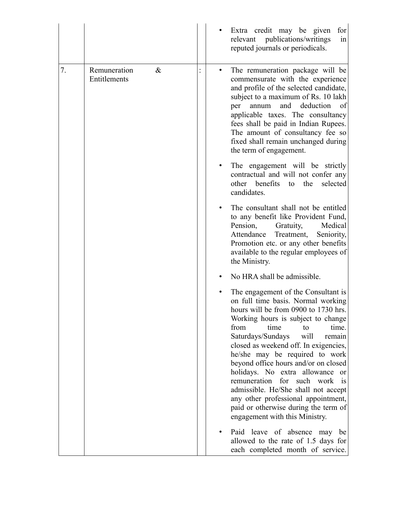|    |                                      | Extra credit may be given<br>for<br>publications/writings<br>relevant<br>in<br>reputed journals or periodicals.                                                                                                                                                                                                                                                                                                                                                                                                                                                                                            |
|----|--------------------------------------|------------------------------------------------------------------------------------------------------------------------------------------------------------------------------------------------------------------------------------------------------------------------------------------------------------------------------------------------------------------------------------------------------------------------------------------------------------------------------------------------------------------------------------------------------------------------------------------------------------|
| 7. | Remuneration<br>$\&$<br>Entitlements | The remuneration package will be<br>commensurate with the experience<br>and profile of the selected candidate,<br>subject to a maximum of Rs. 10 lakh<br>and<br>deduction<br>annum<br>of<br>per<br>applicable taxes. The consultancy<br>fees shall be paid in Indian Rupees.<br>The amount of consultancy fee so<br>fixed shall remain unchanged during<br>the term of engagement.                                                                                                                                                                                                                         |
|    |                                      | The engagement will be strictly<br>contractual and will not confer any<br>benefits<br>the<br>selected<br>other<br>to<br>candidates.                                                                                                                                                                                                                                                                                                                                                                                                                                                                        |
|    |                                      | The consultant shall not be entitled<br>to any benefit like Provident Fund,<br>Pension,<br>Gratuity,<br>Medical<br>Attendance<br>Treatment,<br>Seniority,<br>Promotion etc. or any other benefits<br>available to the regular employees of<br>the Ministry.                                                                                                                                                                                                                                                                                                                                                |
|    |                                      | No HRA shall be admissible.                                                                                                                                                                                                                                                                                                                                                                                                                                                                                                                                                                                |
|    |                                      | The engagement of the Consultant is<br>on full time basis. Normal working<br>hours will be from 0900 to 1730 hrs.<br>Working hours is subject to change<br>from<br>time<br>time.<br>to<br>Saturdays/Sundays<br>will<br>remain<br>closed as weekend off. In exigencies,<br>he/she may be required to work<br>beyond office hours and/or on closed<br>holidays. No extra allowance<br><sub>or</sub><br>remuneration<br>for such<br>work<br><b>1S</b><br>admissible. He/She shall not accept<br>any other professional appointment,<br>paid or otherwise during the term of<br>engagement with this Ministry. |
|    |                                      | Paid leave of absence may be<br>allowed to the rate of 1.5 days for<br>each completed month of service.                                                                                                                                                                                                                                                                                                                                                                                                                                                                                                    |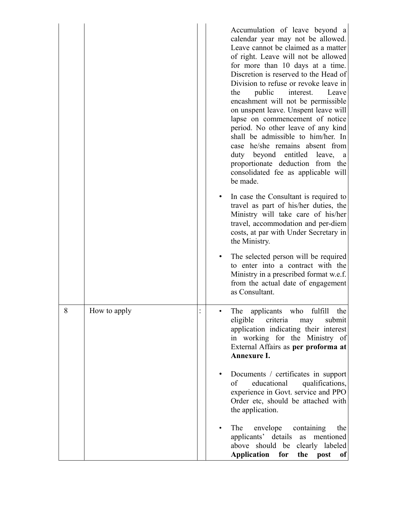|   |              | Accumulation of leave beyond a<br>calendar year may not be allowed.<br>Leave cannot be claimed as a matter<br>of right. Leave will not be allowed<br>for more than 10 days at a time.<br>Discretion is reserved to the Head of<br>Division to refuse or revoke leave in<br>public<br>the<br>interest.<br>Leave<br>encashment will not be permissible<br>on unspent leave. Unspent leave will<br>lapse on commencement of notice<br>period. No other leave of any kind<br>shall be admissible to him/her. In<br>case he/she remains absent from<br>duty beyond entitled leave, a<br>proportionate deduction from the<br>consolidated fee as applicable will<br>be made.<br>In case the Consultant is required to<br>travel as part of his/her duties, the<br>Ministry will take care of his/her<br>travel, accommodation and per-diem<br>costs, at par with Under Secretary in<br>the Ministry.<br>The selected person will be required<br>to enter into a contract with the<br>Ministry in a prescribed format w.e.f.<br>from the actual date of engagement<br>as Consultant. |
|---|--------------|-------------------------------------------------------------------------------------------------------------------------------------------------------------------------------------------------------------------------------------------------------------------------------------------------------------------------------------------------------------------------------------------------------------------------------------------------------------------------------------------------------------------------------------------------------------------------------------------------------------------------------------------------------------------------------------------------------------------------------------------------------------------------------------------------------------------------------------------------------------------------------------------------------------------------------------------------------------------------------------------------------------------------------------------------------------------------------|
| 8 | How to apply | The applicants who fulfill the<br>criteria<br>eligible<br>submit<br>may<br>application indicating their interest<br>in working for the Ministry of<br>External Affairs as per proforma at<br>Annexure I.                                                                                                                                                                                                                                                                                                                                                                                                                                                                                                                                                                                                                                                                                                                                                                                                                                                                      |
|   |              | Documents / certificates in support<br>educational qualifications,<br>of<br>experience in Govt. service and PPO<br>Order etc, should be attached with<br>the application.                                                                                                                                                                                                                                                                                                                                                                                                                                                                                                                                                                                                                                                                                                                                                                                                                                                                                                     |
|   |              | The<br>envelope<br>containing<br>the<br>applicants' details<br>mentioned<br>as<br>above should be clearly labeled<br>Application<br>for<br>the post<br>of                                                                                                                                                                                                                                                                                                                                                                                                                                                                                                                                                                                                                                                                                                                                                                                                                                                                                                                     |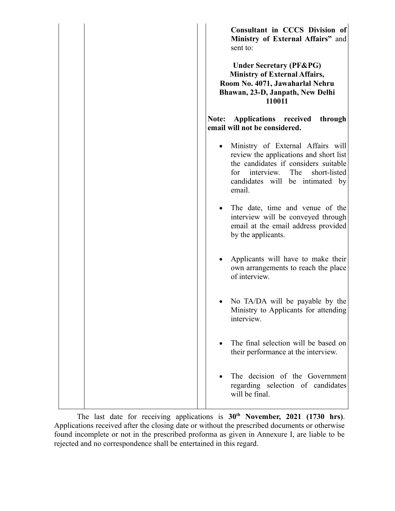| Consultant in CCCS Division of<br>Ministry of External Affairs" and<br>sent to:<br><b>Under Secretary (PF&amp;PG)</b><br><b>Ministry of External Affairs,</b><br>Room No. 4071, Jawaharlal Nehru<br>Bhawan, 23-D, Janpath, New Delhi<br>110011 |  |  |
|------------------------------------------------------------------------------------------------------------------------------------------------------------------------------------------------------------------------------------------------|--|--|
| Applications received<br>Note:<br>through<br>email will not be considered.                                                                                                                                                                     |  |  |
| Ministry of External Affairs will<br>review the applications and short list<br>the candidates if considers suitable<br>for interview.<br>The<br>short-listed<br>candidates will be intimated by<br>email.                                      |  |  |
| The date, time and venue of the<br>interview will be conveyed through<br>email at the email address provided<br>by the applicants.                                                                                                             |  |  |
| Applicants will have to make their<br>own arrangements to reach the place<br>of interview.                                                                                                                                                     |  |  |
| No TA/DA will be payable by the<br>Ministry to Applicants for attending<br>interview.                                                                                                                                                          |  |  |
| The final selection will be based on<br>their performance at the interview.                                                                                                                                                                    |  |  |
| The decision of the Government<br>regarding selection of candidates<br>will be final.                                                                                                                                                          |  |  |

The last date for receiving applications is **30th November, 2021 (1730 hrs)**. Applications received after the closing date or without the prescribed documents or otherwise found incomplete or not in the prescribed proforma as given in Annexure I, are liable to be rejected and no correspondence shall be entertained in this regard.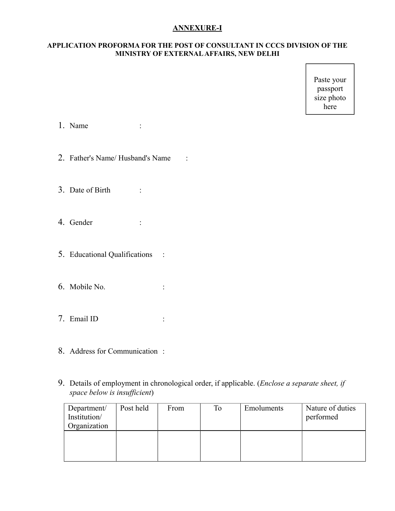### **ANNEXURE-I**

#### **APPLICATION PROFORMA FOR THE POST OF CONSULTANT IN CCCS DIVISION OF THE MINISTRY OF EXTERNAL AFFAIRS, NEW DELHI**

Paste your passport size photo here

- 1. Name :
- 2. Father's Name/ Husband's Name :
- 3. Date of Birth :
- 4. Gender :
- 5. Educational Qualifications :
- 6. Mobile No. :
- 7. Email ID :
- 8. Address for Communication :
- 9. Details of employment in chronological order, if applicable. (*Enclose a separate sheet, if space below is insufficient*)

| Department/<br>Institution/<br>Organization | Post held | From | Tо | Emoluments | Nature of duties<br>performed |
|---------------------------------------------|-----------|------|----|------------|-------------------------------|
|                                             |           |      |    |            |                               |